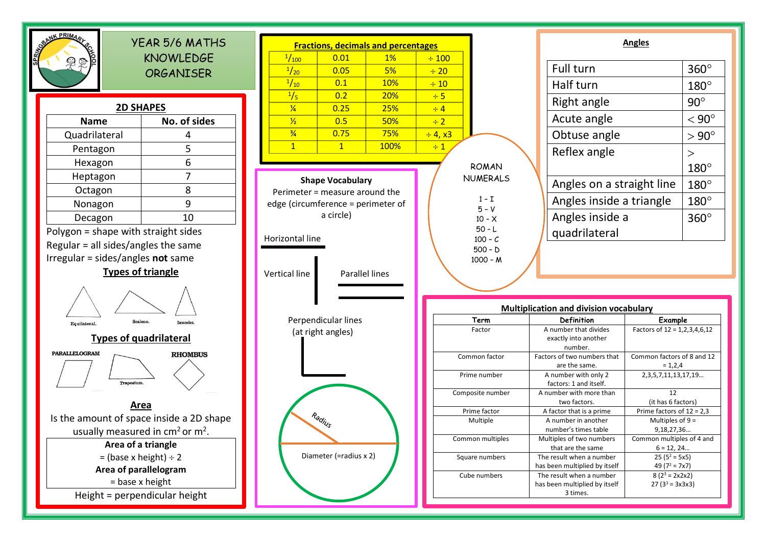

 $180^\circ$ 

360

 $= 1,2,4$ 

12

9,18,27,36…

 $6 = 12, 24...$ 

 $25 (5^2 = 5x5)$ 49 ( $7^2$  = 7x7)